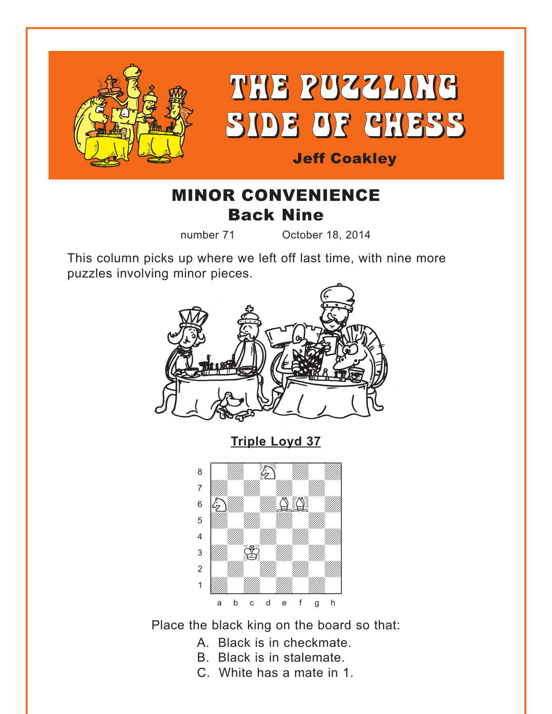<span id="page-0-0"></span>

# THE PUZZLING SIDE OF CHESS

# Jeff Coakley

# MINOR CONVENIENCE Back Nine

number 71 October 18, 2014

This column picks up where we left off last time, with nine more puzzles involving minor pieces.



**[Triple Loyd 37](#page-6-0)**



Place the black king on the board so that:

- A. Black is in checkmate.
- B. Black is in stalemate.
- C. White has a mate in 1.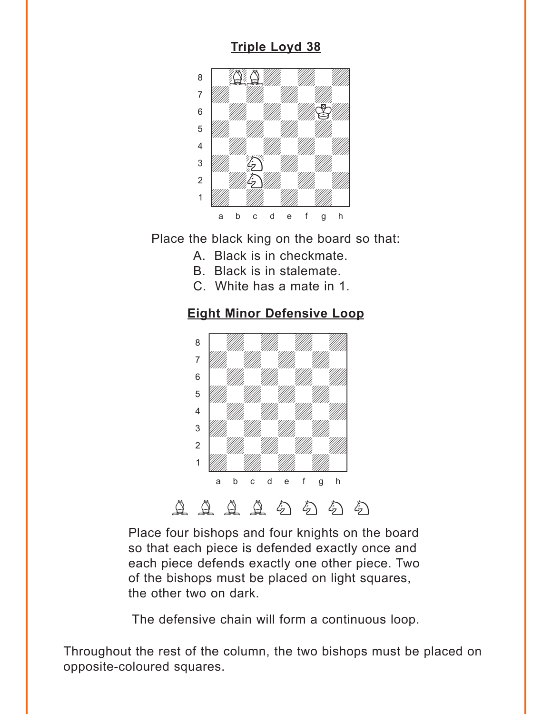# **[Triple Loyd 38](#page-6-0)**

<span id="page-1-0"></span>

Place the black king on the board so that:

- A. Black is in checkmate.
- B. Black is in stalemate.
- C. White has a mate in 1.

## **[Eight Minor Defensive Loop](#page-7-0)**



Place four bishops and four knights on the board so that each piece is defended exactly once and each piece defends exactly one other piece. Two of the bishops must be placed on light squares, the other two on dark.

The defensive chain will form a continuous loop.

Throughout the rest of the column, the two bishops must be placed on opposite-coloured squares.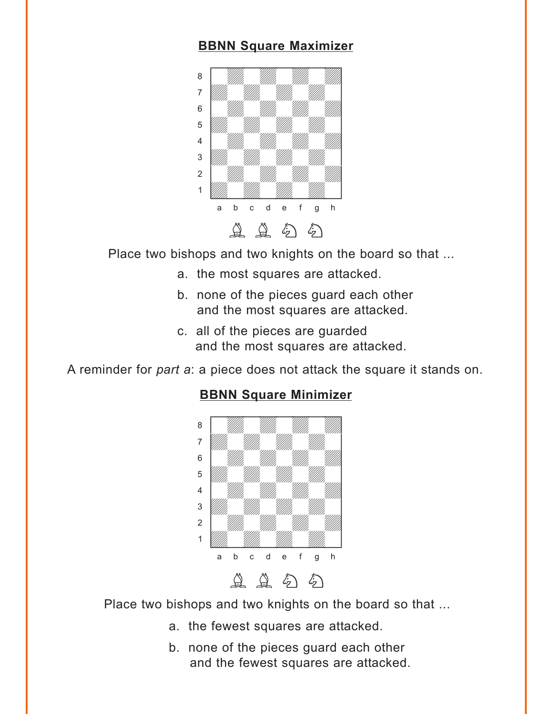#### **[BBNN Square Maximizer](#page-7-0)**

<span id="page-2-0"></span>

Place two bishops and two knights on the board so that ...

- a. the most squares are attacked.
- b. none of the pieces guard each other and the most squares are attacked.
- c. all of the pieces are guarded and the most squares are attacked.

A reminder for *part a*: a piece does not attack the square it stands on.



### **[BBNN Square Minimizer](#page-9-0)**

Place two bishops and two knights on the board so that ...

- a. the fewest squares are attacked.
- b. none of the pieces guard each other and the fewest squares are attacked.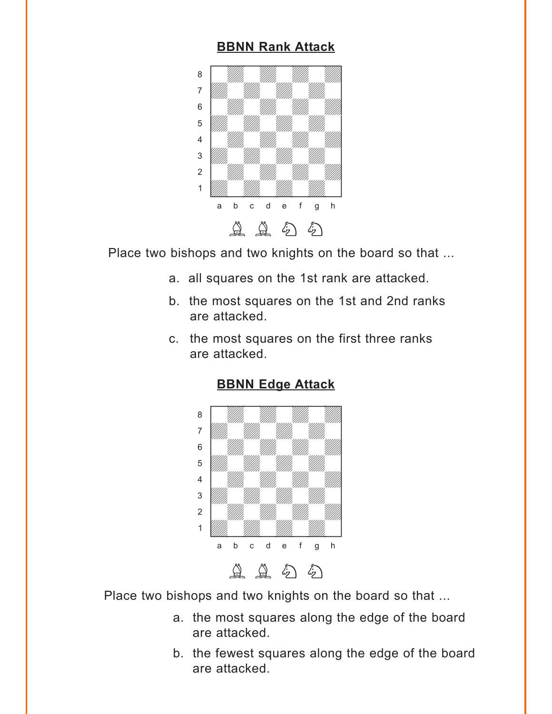#### **[BBNN Rank Attack](#page-10-0)**

<span id="page-3-0"></span>

Place two bishops and two knights on the board so that ...

- a. all squares on the 1st rank are attacked.
- b. the most squares on the 1st and 2nd ranks are attacked.
- c. the most squares on the first three ranks are attacked.





Place two bishops and two knights on the board so that ...

- a. the most squares along the edge of the board are attacked.
- b. the fewest squares along the edge of the board are attacked.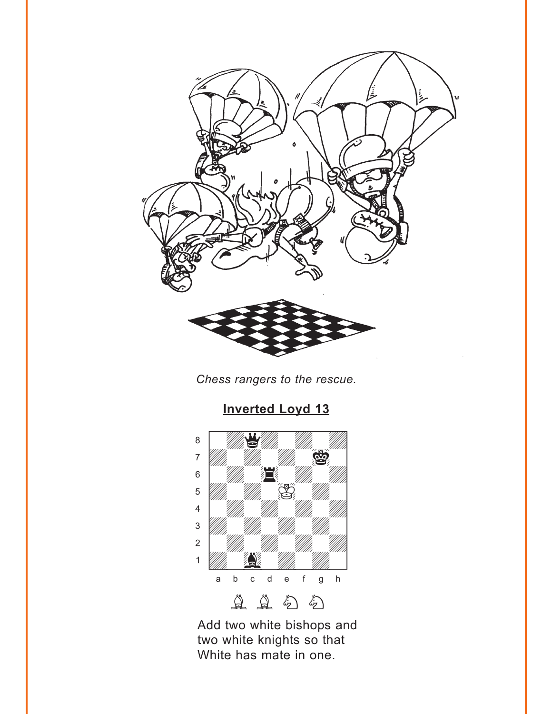<span id="page-4-0"></span>

*Chess rangers to the rescue.*



# **[Inverted Loyd 13](#page-12-0)**

Add two white bishops and two white knights so that White has mate in one.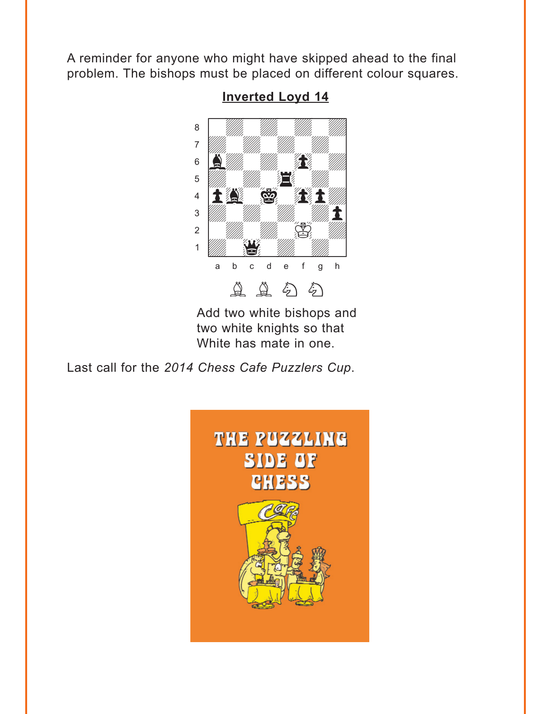<span id="page-5-0"></span>A reminder for anyone who might have skipped ahead to the final problem. The bishops must be placed on different colour squares.



**[Inverted Loyd 14](#page-13-0)**

Add two white bishops and two white knights so that White has mate in one.

Last call for the *2014 Chess Cafe Puzzlers Cup*.

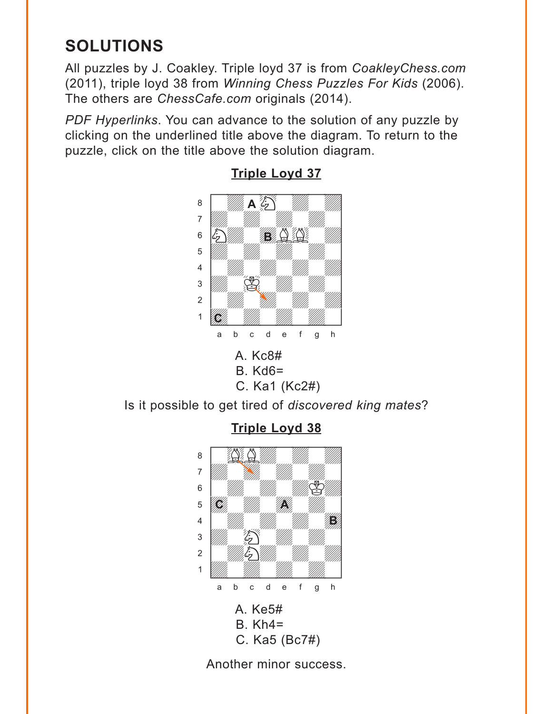# <span id="page-6-0"></span>**SOLUTIONS**

All puzzles by J. Coakley. Triple loyd 37 is from *CoakleyChess.com* (2011), triple loyd 38 from *Winning Chess Puzzles For Kids* (2006). The others are *ChessCafe.com* originals (2014).

*PDF Hyperlinks*. You can advance to the solution of any puzzle by clicking on the underlined title above the diagram. To return to the puzzle, click on the title above the solution diagram.



**[Triple Loyd 37](#page-0-0)**

Is it possible to get tired of *discovered king mates*?

**[Triple Loyd 38](#page-1-0)**



Another minor success.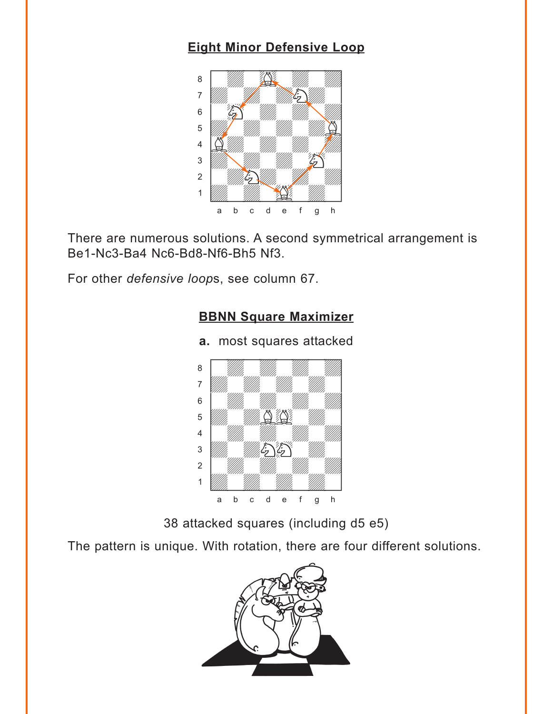# <span id="page-7-0"></span>**[Eight Minor Defensive Loop](#page-1-0)**



There are numerous solutions. A second symmetrical arrangement is Be1-Nc3-Ba4 Nc6-Bd8-Nf6-Bh5 Nf3.

For other *defensive loop*s, see column 67.

# **BBNN [Square Maximizer](#page-2-0)**



**a.** most squares attacked

38 attacked squares (including d5 e5)

The pattern is unique. With rotation, there are four different solutions.

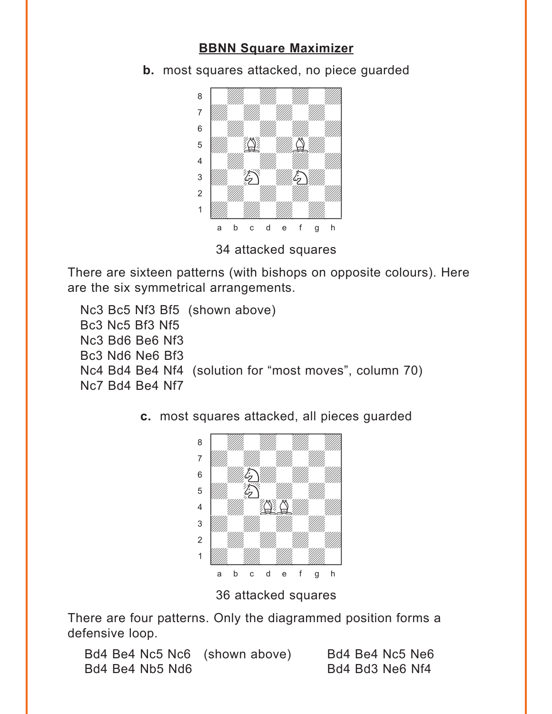## **BBNN [Square Maximizer](#page-2-0)**

**b.** most squares attacked, no piece guarded  $\frac{1}{\sqrt{2}}$ 



34 attacked squares

There are sixteen patterns (with bishops on opposite colours). Here are the six symmetrical arrangements.

Nc3 Bc5 Nf3 Bf5 (shown above) Bc3 Nc5 Bf3 Nf5 Nc3 Bd6 Be6 Nf3 Bc3 Nd6 Ne6 Bf3 Nc4 Bd4 Be4 Nf4 (solution for "most moves", column 70) Nc7 Bd4 Be4 Nf7



**c.** most squares attacked, all pieces guarded

36 attacked squares

There are four patterns. Only the diagrammed position forms a defensive loop.

Bd4 Be4 Nc5 Nc6 (shown above) Bd4 Be4 Nc5 Ne6 Bd4 Be4 Nb5 Nd6 Bd4 Bd3 Ne6 Nf4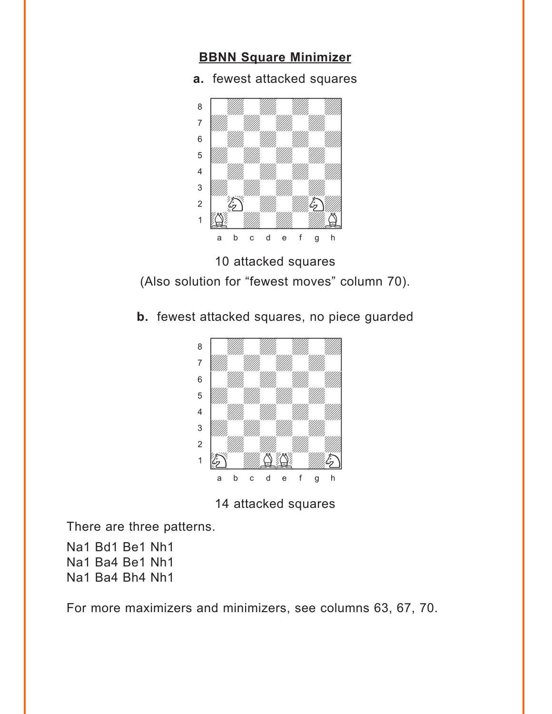#### <span id="page-9-0"></span>**[BBNN Square Minimizer](#page-2-0)**

**a.** fewest attacked squares



10 attacked squares (Also solution for "fewest moves" column 70).

**b.** fewest attacked squares, no piece guarded



14 attacked squares

There are three patterns.

Na1 Bd1 Be1 Nh1 Na1 Ba4 Be1 Nh1 Na1 Ba4 Bh4 Nh1

For more maximizers and minimizers, see columns 63, 67, 70.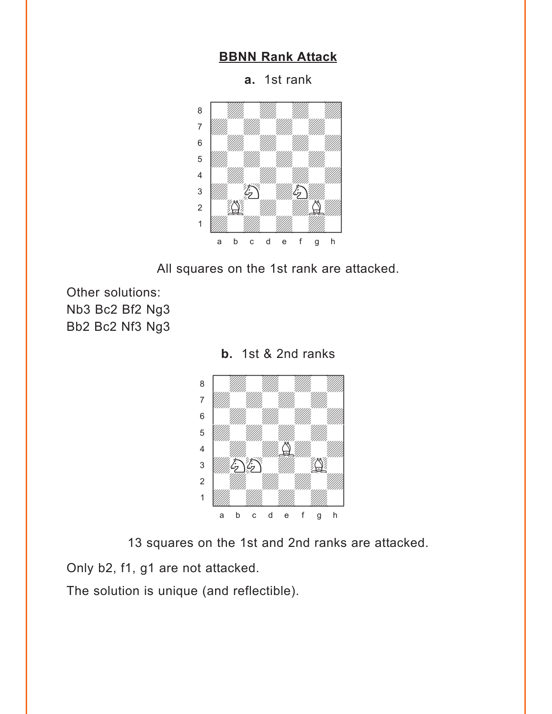#### **[BBNN Rank Attack](#page-3-0)**

**a.** 1st rank

<span id="page-10-0"></span>

All squares on the 1st rank are attacked.

Other solutions: Nb3 Bc2 Bf2 Ng3 Bb2 Bc2 Nf3 Ng3



**b.** 1st & 2nd ranks

13 squares on the 1st and 2nd ranks are attacked.

Only b2, f1, g1 are not attacked.

The solution is unique (and reflectible).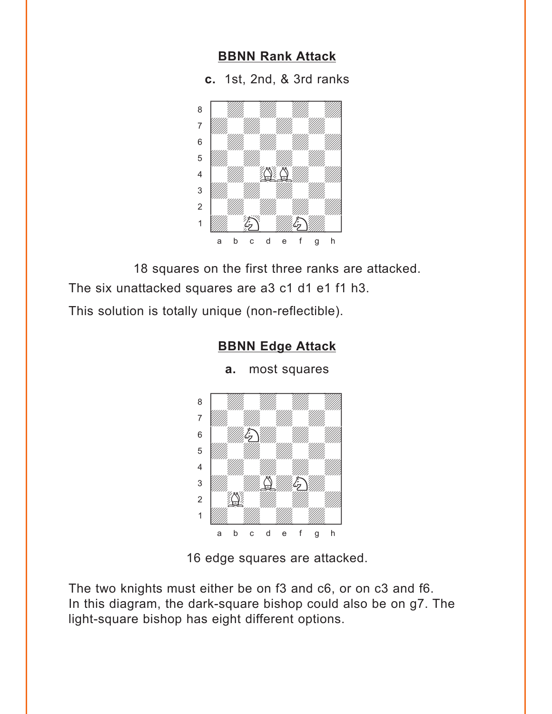#### **[BBNN Rank Attack](#page-3-0)**

**c.** 1st, 2nd, & 3rd ranks

<span id="page-11-0"></span>

18 squares on the first three ranks are attacked.

The six unattacked squares are a3 c1 d1 e1 f1 h3.

This solution is totally unique (non-reflectible).

#### **[BBNN Edge Attack](#page-3-0)**

**a.** most squares



16 edge squares are attacked.

The two knights must either be on f3 and c6, or on c3 and f6. In this diagram, the dark-square bishop could also be on g7. The light-square bishop has eight different options.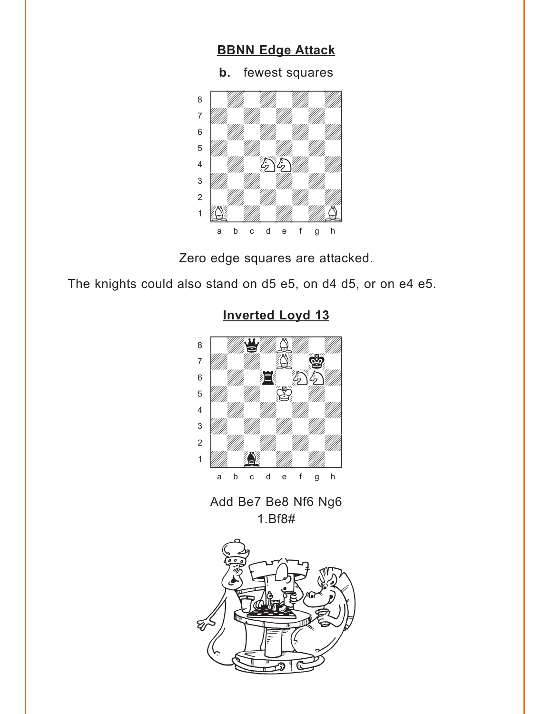# **[BBNN Edge Attack](#page-3-0)**

**b.** fewest squares

<span id="page-12-0"></span>

Zero edge squares are attacked.

The knights could also stand on d5 e5, on d4 d5, or on e4 e5.



# **[Inverted Loyd 13](#page-4-0)**

Add Be7 Be8 Nf6 Ng6 1.Bf8#